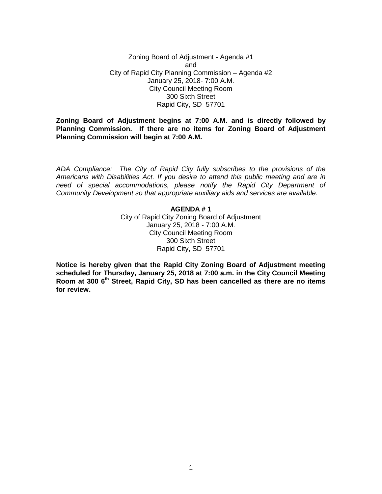Zoning Board of Adjustment - Agenda #1 and City of Rapid City Planning Commission – Agenda #2 January 25, 2018- 7:00 A.M. City Council Meeting Room 300 Sixth Street Rapid City, SD 57701

**Zoning Board of Adjustment begins at 7:00 A.M. and is directly followed by Planning Commission. If there are no items for Zoning Board of Adjustment Planning Commission will begin at 7:00 A.M.**

*ADA Compliance: The City of Rapid City fully subscribes to the provisions of the Americans with Disabilities Act. If you desire to attend this public meeting and are in need of special accommodations, please notify the Rapid City Department of Community Development so that appropriate auxiliary aids and services are available.*

## **AGENDA # 1** City of Rapid City Zoning Board of Adjustment January 25, 2018 - 7:00 A.M. City Council Meeting Room 300 Sixth Street Rapid City, SD 57701

**Notice is hereby given that the Rapid City Zoning Board of Adjustment meeting scheduled for Thursday, January 25, 2018 at 7:00 a.m. in the City Council Meeting Room at 300 6th Street, Rapid City, SD has been cancelled as there are no items for review.**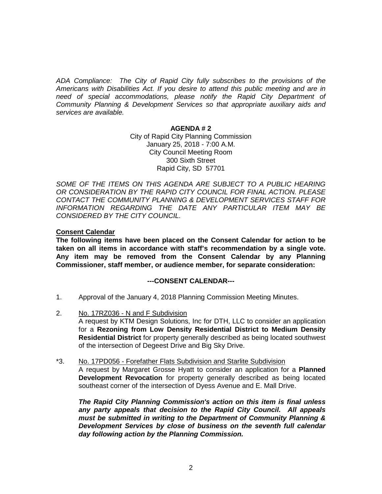*ADA Compliance: The City of Rapid City fully subscribes to the provisions of the Americans with Disabilities Act. If you desire to attend this public meeting and are in*  need of special accommodations, please notify the Rapid City Department of *Community Planning & Development Services so that appropriate auxiliary aids and services are available.*

### **AGENDA # 2**

City of Rapid City Planning Commission January 25, 2018 - 7:00 A.M. City Council Meeting Room 300 Sixth Street Rapid City, SD 57701

SOME OF THE ITEMS ON THIS AGENDA ARE SUBJECT TO A PUBLIC HEARING *OR CONSIDERATION BY THE RAPID CITY COUNCIL FOR FINAL ACTION. PLEASE CONTACT THE COMMUNITY PLANNING & DEVELOPMENT SERVICES STAFF FOR INFORMATION REGARDING THE DATE ANY PARTICULAR ITEM MAY BE CONSIDERED BY THE CITY COUNCIL.*

### **Consent Calendar**

**The following items have been placed on the Consent Calendar for action to be taken on all items in accordance with staff's recommendation by a single vote. Any item may be removed from the Consent Calendar by any Planning Commissioner, staff member, or audience member, for separate consideration:**

### **---CONSENT CALENDAR---**

- 1. Approval of the January 4, 2018 Planning Commission Meeting Minutes.
- 2. No. 17RZ036 N and F Subdivision A request by KTM Design Solutions, Inc for DTH, LLC to consider an application for a **Rezoning from Low Density Residential District to Medium Density Residential District** for property generally described as being located southwest of the intersection of Degeest Drive and Big Sky Drive.
- \*3. No. 17PD056 Forefather Flats Subdivision and Starlite Subdivision

A request by Margaret Grosse Hyatt to consider an application for a **Planned Development Revocation** for property generally described as being located southeast corner of the intersection of Dyess Avenue and E. Mall Drive.

*The Rapid City Planning Commission's action on this item is final unless any party appeals that decision to the Rapid City Council. All appeals must be submitted in writing to the Department of Community Planning & Development Services by close of business on the seventh full calendar day following action by the Planning Commission.*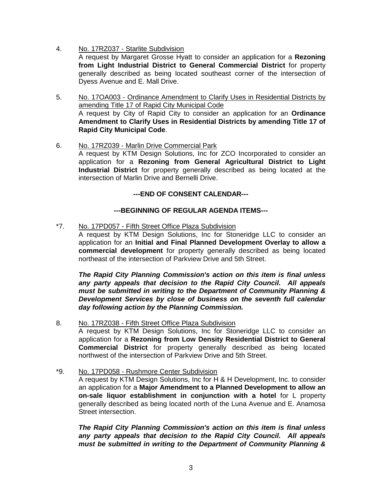4. No. 17RZ037 - Starlite Subdivision

A request by Margaret Grosse Hyatt to consider an application for a **Rezoning from Light Industrial District to General Commercial District** for property generally described as being located southeast corner of the intersection of Dyess Avenue and E. Mall Drive.

- 5. No. 17OA003 Ordinance Amendment to Clarify Uses in Residential Districts by amending Title 17 of Rapid City Municipal Code A request by City of Rapid City to consider an application for an **Ordinance Amendment to Clarify Uses in Residential Districts by amending Title 17 of Rapid City Municipal Code**.
- 6. No. 17RZ039 Marlin Drive Commercial Park A request by KTM Design Solutions, Inc for ZCO Incorporated to consider an application for a **Rezoning from General Agricultural District to Light Industrial District** for property generally described as being located at the intersection of Marlin Drive and Bernelli Drive.

# **---END OF CONSENT CALENDAR---**

# **---BEGINNING OF REGULAR AGENDA ITEMS---**

\*7. No. 17PD057 - Fifth Street Office Plaza Subdivision

A request by KTM Design Solutions, Inc for Stoneridge LLC to consider an application for an **Initial and Final Planned Development Overlay to allow a commercial development** for property generally described as being located northeast of the intersection of Parkview Drive and 5th Street.

*The Rapid City Planning Commission's action on this item is final unless any party appeals that decision to the Rapid City Council. All appeals must be submitted in writing to the Department of Community Planning & Development Services by close of business on the seventh full calendar day following action by the Planning Commission.*

8. No. 17RZ038 - Fifth Street Office Plaza Subdivision

A request by KTM Design Solutions, Inc for Stoneridge LLC to consider an application for a **Rezoning from Low Density Residential District to General Commercial District** for property generally described as being located northwest of the intersection of Parkview Drive and 5th Street.

\*9. No. 17PD058 - Rushmore Center Subdivision

A request by KTM Design Solutions, Inc for H & H Development, Inc. to consider an application for a **Major Amendment to a Planned Development to allow an on-sale liquor establishment in conjunction with a hotel** for L property generally described as being located north of the Luna Avenue and E. Anamosa Street intersection.

*The Rapid City Planning Commission's action on this item is final unless any party appeals that decision to the Rapid City Council. All appeals must be submitted in writing to the Department of Community Planning &*